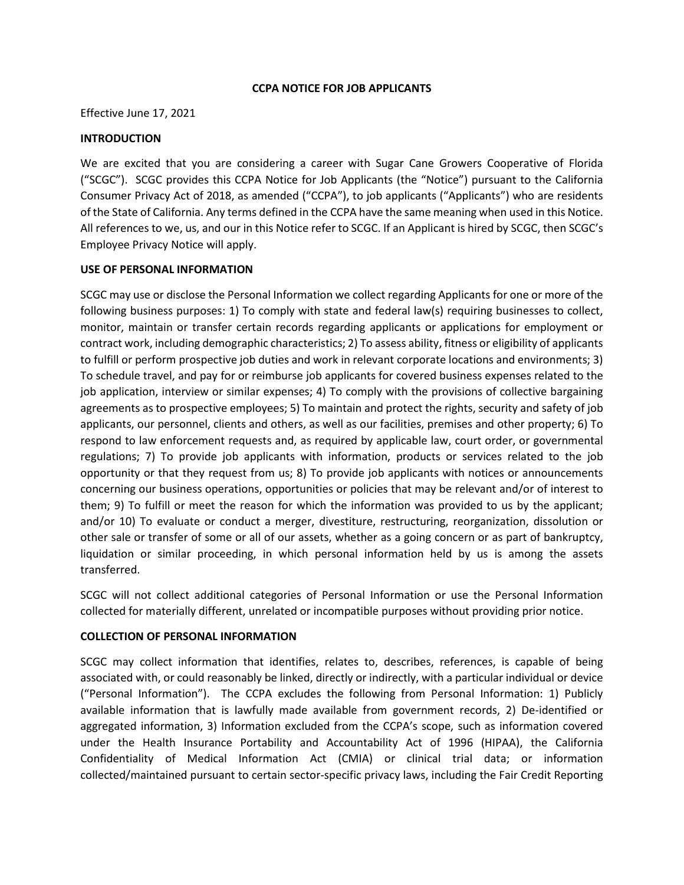#### **CCPA NOTICE FOR JOB APPLICANTS**

Effective June 17, 2021

#### **INTRODUCTION**

We are excited that you are considering a career with Sugar Cane Growers Cooperative of Florida ("SCGC"). SCGC provides this CCPA Notice for Job Applicants (the "Notice") pursuant to the California Consumer Privacy Act of 2018, as amended ("CCPA"), to job applicants ("Applicants") who are residents of the State of California. Any terms defined in the CCPA have the same meaning when used in this Notice. All references to we, us, and our in this Notice refer to SCGC. If an Applicant is hired by SCGC, then SCGC's Employee Privacy Notice will apply.

#### **USE OF PERSONAL INFORMATION**

SCGC may use or disclose the Personal Information we collect regarding Applicants for one or more of the following business purposes: 1) To comply with state and federal law(s) requiring businesses to collect, monitor, maintain or transfer certain records regarding applicants or applications for employment or contract work, including demographic characteristics; 2) To assess ability, fitness or eligibility of applicants to fulfill or perform prospective job duties and work in relevant corporate locations and environments; 3) To schedule travel, and pay for or reimburse job applicants for covered business expenses related to the job application, interview or similar expenses; 4) To comply with the provisions of collective bargaining agreements as to prospective employees; 5) To maintain and protect the rights, security and safety of job applicants, our personnel, clients and others, as well as our facilities, premises and other property; 6) To respond to law enforcement requests and, as required by applicable law, court order, or governmental regulations; 7) To provide job applicants with information, products or services related to the job opportunity or that they request from us; 8) To provide job applicants with notices or announcements concerning our business operations, opportunities or policies that may be relevant and/or of interest to them; 9) To fulfill or meet the reason for which the information was provided to us by the applicant; and/or 10) To evaluate or conduct a merger, divestiture, restructuring, reorganization, dissolution or other sale or transfer of some or all of our assets, whether as a going concern or as part of bankruptcy, liquidation or similar proceeding, in which personal information held by us is among the assets transferred.

SCGC will not collect additional categories of Personal Information or use the Personal Information collected for materially different, unrelated or incompatible purposes without providing prior notice.

## **COLLECTION OF PERSONAL INFORMATION**

SCGC may collect information that identifies, relates to, describes, references, is capable of being associated with, or could reasonably be linked, directly or indirectly, with a particular individual or device ("Personal Information"). The CCPA excludes the following from Personal Information: 1) Publicly available information that is lawfully made available from government records, 2) De-identified or aggregated information, 3) Information excluded from the CCPA's scope, such as information covered under the Health Insurance Portability and Accountability Act of 1996 (HIPAA), the California Confidentiality of Medical Information Act (CMIA) or clinical trial data; or information collected/maintained pursuant to certain sector-specific privacy laws, including the Fair Credit Reporting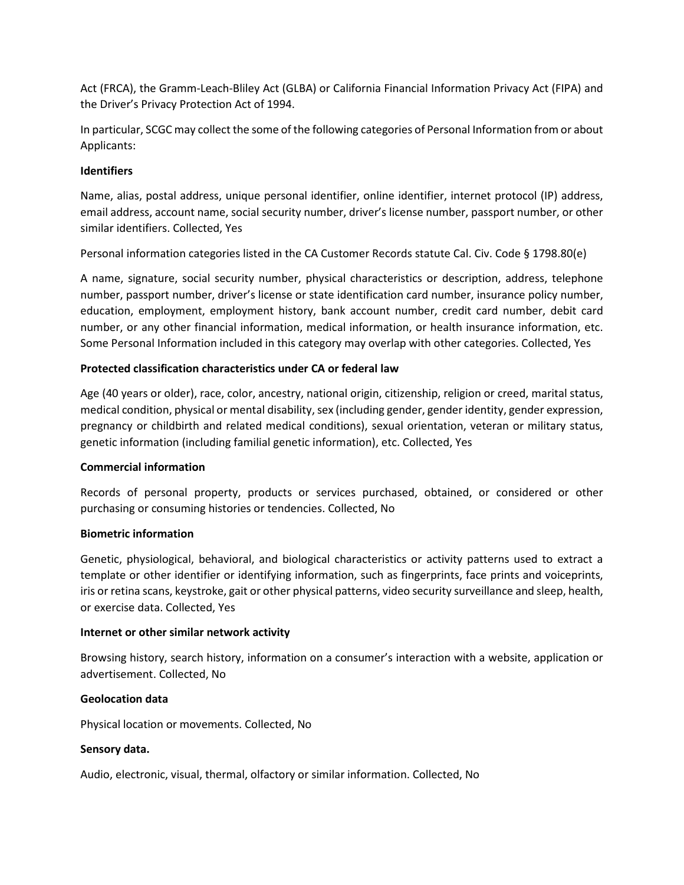Act (FRCA), the Gramm-Leach-Bliley Act (GLBA) or California Financial Information Privacy Act (FIPA) and the Driver's Privacy Protection Act of 1994.

In particular, SCGC may collect the some of the following categories of Personal Information from or about Applicants:

## **Identifiers**

Name, alias, postal address, unique personal identifier, online identifier, internet protocol (IP) address, email address, account name, social security number, driver's license number, passport number, or other similar identifiers. Collected, Yes

Personal information categories listed in the CA Customer Records statute Cal. Civ. Code § 1798.80(e)

A name, signature, social security number, physical characteristics or description, address, telephone number, passport number, driver's license or state identification card number, insurance policy number, education, employment, employment history, bank account number, credit card number, debit card number, or any other financial information, medical information, or health insurance information, etc. Some Personal Information included in this category may overlap with other categories. Collected, Yes

# **Protected classification characteristics under CA or federal law**

Age (40 years or older), race, color, ancestry, national origin, citizenship, religion or creed, marital status, medical condition, physical or mental disability, sex (including gender, gender identity, gender expression, pregnancy or childbirth and related medical conditions), sexual orientation, veteran or military status, genetic information (including familial genetic information), etc. Collected, Yes

## **Commercial information**

Records of personal property, products or services purchased, obtained, or considered or other purchasing or consuming histories or tendencies. Collected, No

## **Biometric information**

Genetic, physiological, behavioral, and biological characteristics or activity patterns used to extract a template or other identifier or identifying information, such as fingerprints, face prints and voiceprints, iris or retina scans, keystroke, gait or other physical patterns, video security surveillance and sleep, health, or exercise data. Collected, Yes

## **Internet or other similar network activity**

Browsing history, search history, information on a consumer's interaction with a website, application or advertisement. Collected, No

## **Geolocation data**

Physical location or movements. Collected, No

## **Sensory data.**

Audio, electronic, visual, thermal, olfactory or similar information. Collected, No